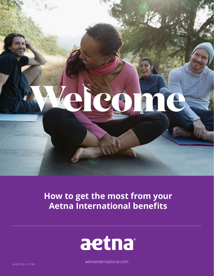# elico 16

## **How to get the most from your Aetna International benefits**



aetnainternational.com

46.02.330.1 J (7/18)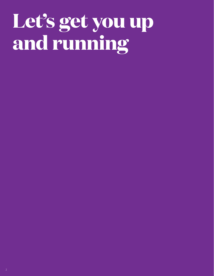# **Let's get you up and running**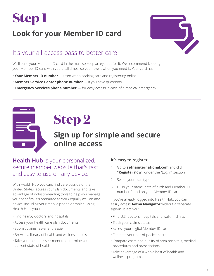## **Look for your Member ID card**



### It's your all-access pass to better care

We'll send your Member ID card in the mail, so keep an eye out for it. We recommend keeping your Member ID card with you at all times, so you have it when you need it. Your card has:

- **Your Member ID number** used when seeking care and registering online
- **Member Service Center phone number** if you have questions
- **Emergency Services phone number** for easy access in case of a medical emergency

# **Step 2**

### **Sign up for simple and secure online access**

#### **Health Hub** is your personalized, secure member website that's fast and easy to use on any device.

With Health Hub you can: find care outside of the United States, access your plan documents and take advantage of industry-leading tools to help you manage your benefits. It's optimized to work equally well on any device, including your mobile phone or tablet. Using Health Hub, you can:

- Find nearby doctors and hospitals
- Access your health care plan documents
- Submit claims faster and easier
- Browse a library of health and wellness topics
- Take your health assessment to determine your current state of health

#### **It's easy to register**

- 1. Go to **aetnainternational.com** and click **"Register now"** under the "Log in" section
- 2. Select your plan type
- 3. Fill in your name, date of birth and Member ID number found on your Member ID card

If you're already logged into Health Hub, you can easily access **Aetna Navigator** without a separate sign-in. It lets you:

- Find U.S. doctors, hospitals and walk-in clinics
- Track your claims status
- Access your digital Member ID card
- Estimate your out-of-pocket costs
- Compare costs and quality of area hospitals, medical procedures and prescriptions
- Take advantage of a whole host of health and wellness programs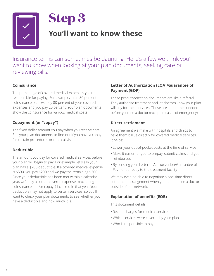

## **You'll want to know these**

Insurance terms can sometimes be daunting. Here's a few we think you'll want to know when looking at your plan documents, seeking care or reviewing bills.

#### **Coinsurance**

The percentage of covered medical expenses you're responsible for paying. For example, in an 80 percent coinsurance plan, we pay 80 percent of your covered expenses and you pay 20 percent. Your plan documents show the coinsurance for various medical costs.

#### **Copayment (or "copay")**

The fixed dollar amount you pay when you receive care. See your plan documents to find out if you have a copay for certain procedures or medical visits.

#### **Deductible**

The amount you pay for covered medical services before your plan will begin to pay. For example, let's say your plan has a \$200 deductible. If a covered medical expense is \$500, you pay \$200 and we pay the remaining \$300. Once your deductible has been met within a calendar year, we'll pay all other covered expenses (excluding coinsurance and/or copays) incurred in that year. Your deductible may not apply to certain services, so you'll want to check your plan documents to see whether you have a deductible and how much it is.

#### **Letter of Authorization (LOA)/Guarantee of Payment (GOP)**

These preauthorization documents are like a referral. They authorize treatment and let doctors know your plan will pay for their services. These are sometimes needed before you see a doctor (except in cases of emergency).

#### **Direct settlement**

An agreement we make with hospitals and clinics to have them bill us directly for covered medical services. It helps:

- Lower your out-of-pocket costs at the time of service
- Make it easier for you to prepay, submit claims and get reimbursed
- By sending your Letter of Authorization/Guarantee of Payment directly to the treatment facility

We may even be able to negotiate a one-time direct settlement arrangement when you need to see a doctor outside of our network.

#### **Explanation of benefits (EOB)**

This document details:

- Recent charges for medical services
- Which services were covered by your plan
- Who is responsible to pay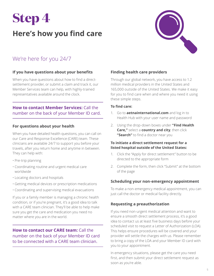## **Here's how you find care**



### We're here for you 24/7

#### **If you have questions about your benefits**

When you have questions about how to find a directsettlement provider, or submit a claim and track it, our Member Services team can help, with highly-trained representatives available around the clock.

#### **How to contact Member Services:** Call the number on the back of your Member ID card.

#### **For questions about your health**

When you have detailed health questions, you can call on our Care and Response Excellence (CARE) team. These clinicians are available 24/7 to support you before your travels, after you return home and anytime in between. They can help with:

- Pre-trip planning
- Coordinating routine and urgent medical care worldwide
- Locating doctors and hospitals
- Getting medical devices or prescription medications
- Coordinating and supervising medical evacuations

If you or a family member is managing a chronic health condition, or if you're pregnant, it's a good idea to talk with a CARE team clinician. They'll be able to help make sure you get the care and medication you need no matter where you are in the world.

#### **How to contact our CARE team:** Call the number on the back of your Member ID card to be connected with a CARE team clinician.

#### **Finding health care providers**

Through our global network, you have access to 1.2 million medical providers in the United States and 165,000 outside of the United States. We make it easy for you to find care when and where you need it using these simple steps.

#### **To find care:**

- 1. Go to **aetnainternational.com** and log in to Health Hub with your user name and password
- 2. Using the drop-down boxes under **"Find Health Care,"** select a **country and city**, then click **"Search"** to find a doctor near you

#### **To initiate a direct settlement request for a listed hospital outside of the United States:**

- 1. Click the "Apply for direct settlement" button to be directed to the appropriate form
- 2. Complete the form, then click "Submit" at the bottom of the page

#### **Scheduling your non-emergency appointment**

To make a non-emergency medical appointment, you can just call the doctor or medical facility directly.

#### **Requesting a preauthorization**

If you need non-urgent medical attention and want to ensure a smooth direct settlement process, it's a good idea to contact us at least five business days before your scheduled visit to request a Letter of Authorization (LOA). This helps ensure procedures will be covered and your provider will settle the charges with us. Please remember to bring a copy of the LOA and your Member ID card with you to your appointment.

In emergency situations, please get the care you need first, and then submit your direct settlement request as soon as you're able.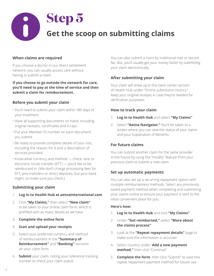

#### **When claims are required**

If you choose a doctor in our direct settlement network, you can usually access care without having to submit a claim.

#### **If you choose to go outside the network for care, you'll need to pay at the time of service and then submit a claim for reimbursement.**

#### **Before you submit your claim**

- You'll need to submit your claim within 180 days of your treatment
- Have all supporting documents on hand, including original receipts, certificates and X-rays
- Put your Member ID number on each document you submit
- Be ready to provide complete details of your visit, including the reason for it and a description of services provided
- Know what currency and method check, wire or electronic funds transfer (EFT) — you'd like to be reimbursed in. (We don't charge processing fees for EFT, wire transfers or direct deposits, but your bank might, so make sure you check.)

#### **Submitting your claim**

- 1. **Log in to Health Hub at aetnainternational.com**
- 2. Click **"My Claims,"** then select **"New claim"**  to be taken to your online claim form, which is prefilled with as many details as we have
- 3. **Complete the online form**
- 4. **Scan and upload your receipts**
- 5. Select your preferred currency and method of reimbursement in the **"Summary of Reimbursement"** and **"Banking"** sections on your claim form
- 6. **Submit** your claim, noting your reference tracking number to check your claim status

You can also submit a claim by traditional mail or secure fax. But, you'll usually get your money faster by submitting your claim electronically.

#### **After submitting your claim**

Your claim will show up in the claim center section of Health Hub under "Online submission history." Keep your original receipts in case they're needed for verification purposes.

#### **How to track your claim**

- 1. **Log in to Health Hub** and select **"My Claims"**
- 2. Select **"Aetna Navigator."** You'll be taken to a screen where you can view the status of your claims and your Explanation of Benefits.

#### **For future claims**

You can submit another claim for the same provider in the future by using the "modify" feature from your previous claim to submit a new claim.

#### **Set up automatic payments**

You can also set up a recurring repayment option with multiple reimbursement methods. Select any previously saved payment method when completing and submitting your claims online to ensure your payment is sent to the most convenient place for you.

#### **Here's how:**

- 1. **Log in to Health Hub** and click **"My Claims"**
- 2. Under **"Get reimbursed,"** select **"More about the claims process"**
- 3. Look at the **"Repeat repayment details"** page to make sure the information is accurate
- 4. Select country under "**Add a new payment method,"** then click "Continue"
- 5. **Complete the form**, then click "Submit" to save this repeat repayment payment method for future use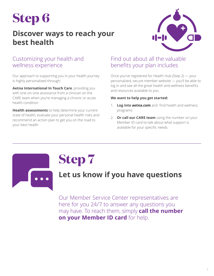### **Discover ways to reach your best health**



#### Customizing your health and wellness experience

Our approach to supporting you in your health journey is highly personalized through:

**Aetna International In Touch Care**, providing you with one-on-one assistance from a clinician on the CARE team when you're managing a chronic or acute health condition

**Health assessments** to help determine your current state of health, evaluate your personal health risks and recommend an action plan to get you on the road to your best health

#### Find out about all the valuable benefits your plan includes

Once you've registered for Health Hub (Step 2) — your personalized, secure member website — you'll be able to log in and see all the great health and wellness benefits and resources available to you.

#### **We want to help you get started:**

- 1. **Log into aetna.com** and find health and wellness programs
- 2. **Or call our CARE team** using the number on your Member ID card to talk about what support is available for your specific needs



## **Step 7**

### **Let us know if you have questions**

Our Member Service Center representatives are here for you 24/7 to answer any questions you may have. To reach them, simply **call the number on your Member ID card** for help.